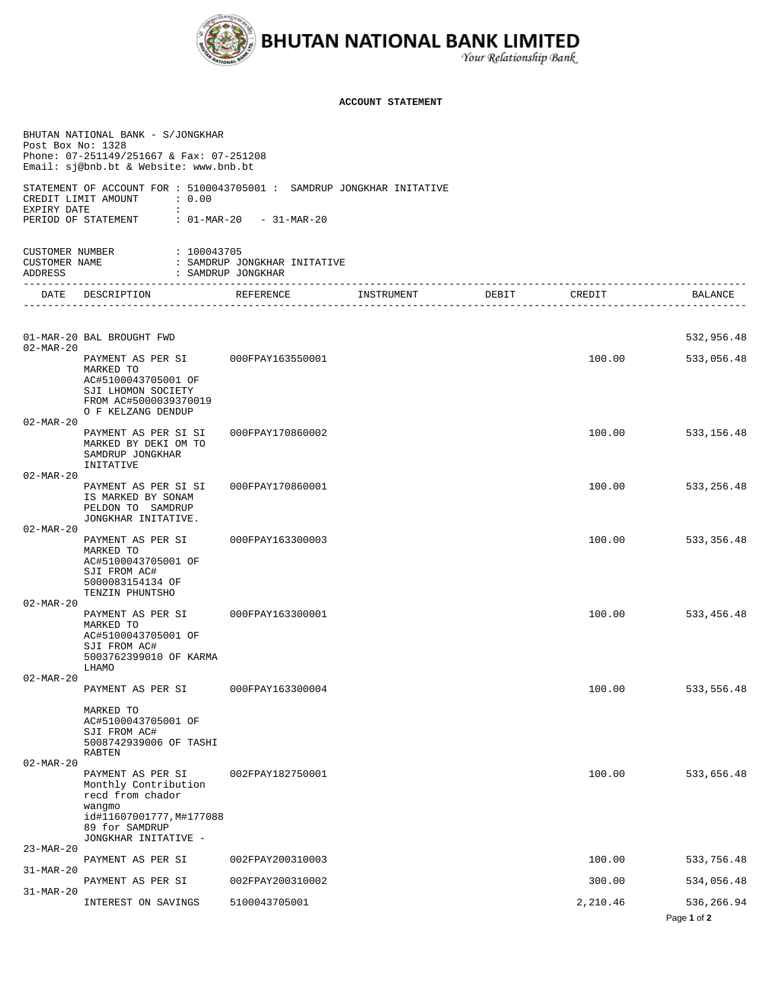

## **ACCOUNT STATEMENT**

| Post Box No: 1328                           | BHUTAN NATIONAL BANK - S/JONGKHAR<br>Phone: 07-251149/251667 & Fax: 07-251208<br>Email: sj@bnb.bt & Website: www.bnb.bt                     |                                                    |            |       |          |                           |
|---------------------------------------------|---------------------------------------------------------------------------------------------------------------------------------------------|----------------------------------------------------|------------|-------|----------|---------------------------|
| EXPIRY DATE                                 | STATEMENT OF ACCOUNT FOR: 5100043705001: SAMDRUP JONGKHAR INITATIVE<br>CREDIT LIMIT AMOUNT<br>$\cdot$ 0.00<br>$\sim$<br>PERIOD OF STATEMENT | : 01-MAR-20 - 31-MAR-20                            |            |       |          |                           |
| CUSTOMER NUMBER<br>CUSTOMER NAME<br>ADDRESS | : 100043705                                                                                                                                 | : SAMDRUP JONGKHAR INITATIVE<br>: SAMDRUP JONGKHAR |            |       |          |                           |
| -----------------<br><b>DATE</b>            | ------------------------<br>DESCRIPTION                                                                                                     | REFERENCE                                          | INSTRUMENT | DEBIT | CREDIT   | BALANCE                   |
|                                             |                                                                                                                                             |                                                    |            |       |          |                           |
| $02 - \text{MAR} - 20$                      | 01-MAR-20 BAL BROUGHT FWD                                                                                                                   |                                                    |            |       |          | 532,956.48                |
|                                             | PAYMENT AS PER SI<br>MARKED TO<br>AC#5100043705001 OF<br>SJI LHOMON SOCIETY<br>FROM AC#5000039370019<br>O F KELZANG DENDUP                  | 000FPAY163550001                                   |            |       | 100.00   | 533,056.48                |
| $02 - \text{MAR} - 20$                      | PAYMENT AS PER SI SI                                                                                                                        | 000FPAY170860002                                   |            |       | 100.00   | 533,156.48                |
|                                             | MARKED BY DEKI OM TO<br>SAMDRUP JONGKHAR                                                                                                    |                                                    |            |       |          |                           |
| $02 - \text{MAR} - 20$                      | INITATIVE                                                                                                                                   |                                                    |            |       |          |                           |
|                                             | PAYMENT AS PER SI SI<br>IS MARKED BY SONAM<br>PELDON TO SAMDRUP<br>JONGKHAR INITATIVE.                                                      | 000FPAY170860001                                   |            |       | 100.00   | 533, 256.48               |
| $02 - \text{MAR} - 20$                      | PAYMENT AS PER SI<br>MARKED TO<br>AC#5100043705001 OF<br>SJI FROM AC#<br>5000083154134 OF<br>TENZIN PHUNTSHO                                | 000FPAY163300003                                   |            |       | 100.00   | 533,356.48                |
| $02 - \text{MAR} - 20$                      | PAYMENT AS PER SI<br>MARKED TO<br>AC#5100043705001 OF<br>SJI FROM AC#<br>5003762399010 OF KARMA                                             | 000FPAY163300001                                   |            |       | 100.00   | 533,456.48                |
| $02 - \text{MAR} - 20$                      | LHAMO                                                                                                                                       |                                                    |            |       |          |                           |
|                                             | PAYMENT AS PER SI                                                                                                                           | 000FPAY163300004                                   |            |       | 100.00   | 533,556.48                |
|                                             | MARKED TO<br>AC#5100043705001 OF<br>SJI FROM AC#<br>5008742939006 OF TASHI<br>RABTEN                                                        |                                                    |            |       |          |                           |
| $02 - MAR - 20$                             | PAYMENT AS PER SI<br>Monthly Contribution<br>recd from chador<br>wangmo<br>id#11607001777, M#177088<br>89 for SAMDRUP                       | 002FPAY182750001                                   |            |       | 100.00   | 533,656.48                |
| $23 - MAR - 20$                             | JONGKHAR INITATIVE -                                                                                                                        |                                                    |            |       |          |                           |
| $31-MAR-20$                                 | PAYMENT AS PER SI                                                                                                                           | 002FPAY200310003                                   |            |       | 100.00   | 533,756.48                |
| $31-MAR-20$                                 | PAYMENT AS PER SI                                                                                                                           | 002FPAY200310002                                   |            |       | 300.00   | 534,056.48                |
|                                             | INTEREST ON SAVINGS                                                                                                                         | 5100043705001                                      |            |       | 2,210.46 | 536,266.94<br>Page 1 of 2 |